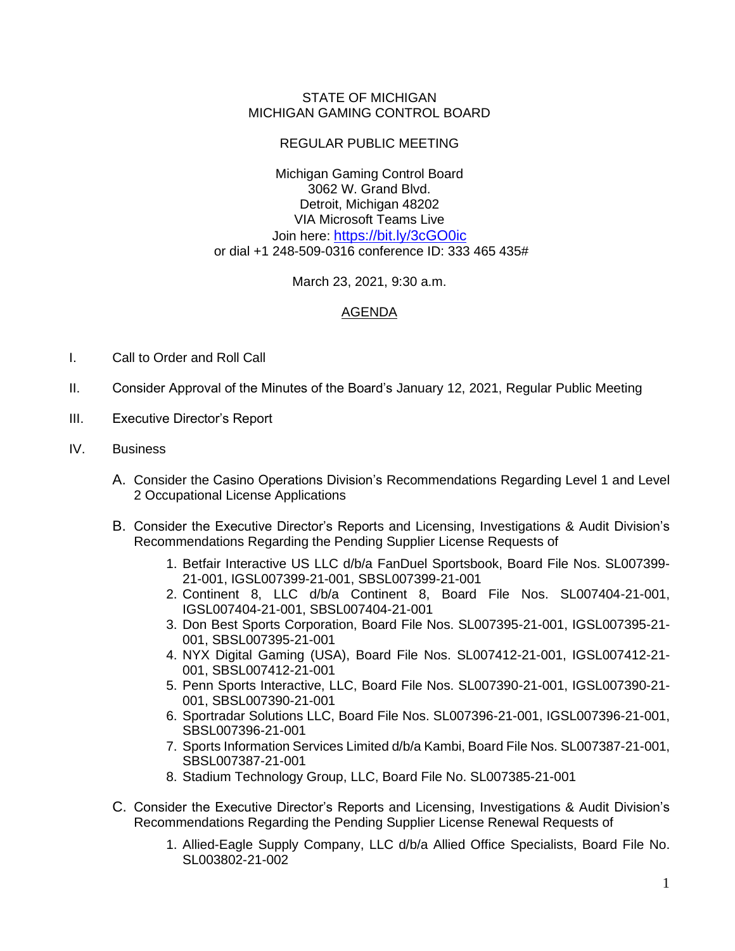## STATE OF MICHIGAN MICHIGAN GAMING CONTROL BOARD

## REGULAR PUBLIC MEETING

Michigan Gaming Control Board 3062 W. Grand Blvd. Detroit, Michigan 48202 VIA Microsoft Teams Live Join here: <https://bit.ly/3cGO0ic> or dial +1 248-509-0316 conference ID: 333 465 435#

March 23, 2021, 9:30 a.m.

## AGENDA

- I. Call to Order and Roll Call
- II. Consider Approval of the Minutes of the Board's January 12, 2021, Regular Public Meeting
- III. Executive Director's Report
- IV. Business
	- A. Consider the Casino Operations Division's Recommendations Regarding Level 1 and Level 2 Occupational License Applications
	- B. Consider the Executive Director's Reports and Licensing, Investigations & Audit Division's Recommendations Regarding the Pending Supplier License Requests of
		- 1. Betfair Interactive US LLC d/b/a FanDuel Sportsbook, Board File Nos. SL007399- 21-001, IGSL007399-21-001, SBSL007399-21-001
		- 2. Continent 8, LLC d/b/a Continent 8, Board File Nos. SL007404-21-001, IGSL007404-21-001, SBSL007404-21-001
		- 3. Don Best Sports Corporation, Board File Nos. SL007395-21-001, IGSL007395-21- 001, SBSL007395-21-001
		- 4. NYX Digital Gaming (USA), Board File Nos. SL007412-21-001, IGSL007412-21- 001, SBSL007412-21-001
		- 5. Penn Sports Interactive, LLC, Board File Nos. SL007390-21-001, IGSL007390-21- 001, SBSL007390-21-001
		- 6. Sportradar Solutions LLC, Board File Nos. SL007396-21-001, IGSL007396-21-001, SBSL007396-21-001
		- 7. Sports Information Services Limited d/b/a Kambi, Board File Nos. SL007387-21-001, SBSL007387-21-001
		- 8. Stadium Technology Group, LLC, Board File No. SL007385-21-001
	- C. Consider the Executive Director's Reports and Licensing, Investigations & Audit Division's Recommendations Regarding the Pending Supplier License Renewal Requests of
		- 1. Allied-Eagle Supply Company, LLC d/b/a Allied Office Specialists, Board File No. SL003802-21-002